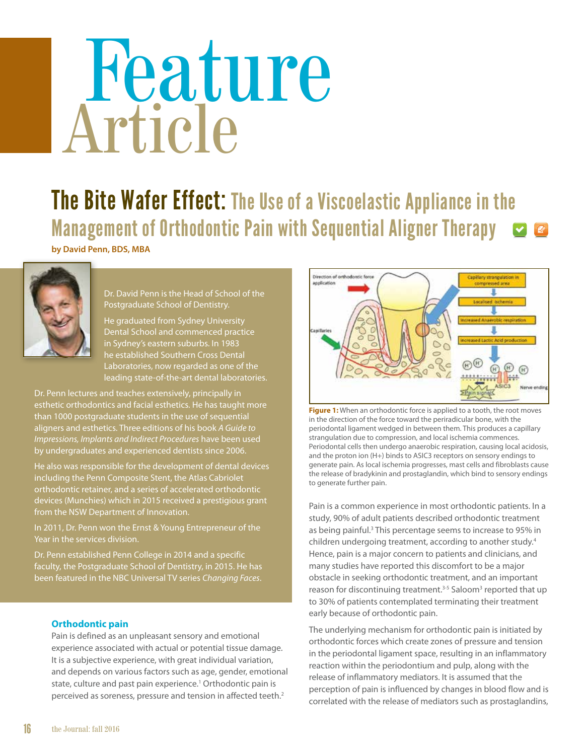# Feature Article

## The Bite Wafer Effect: The Use of a Viscoelastic Appliance in the Management of Orthodontic Pain with Sequential Aligner Therapy

**by David Penn, BDS, MBA**



Dr. David Penn is the Head of School of the Postgraduate School of Dentistry.

He graduated from Sydney University Dental School and commenced practice in Sydney's eastern suburbs. In 1983 he established Southern Cross Dental Laboratories, now regarded as one of the leading state-of-the-art dental laboratories.

Dr. Penn lectures and teaches extensively, principally in esthetic orthodontics and facial esthetics. He has taught more than 1000 postgraduate students in the use of sequential aligners and esthetics. Three editions of his book *A Guide to Impressions, Implants and Indirect Procedures* have been used by undergraduates and experienced dentists since 2006.

He also was responsible for the development of dental devices including the Penn Composite Stent, the Atlas Cabriolet orthodontic retainer, and a series of accelerated orthodontic devices (Munchies) which in 2015 received a prestigious grant from the NSW Department of Innovation.

In 2011, Dr. Penn won the Ernst & Young Entrepreneur of the Year in the services division.

Dr. Penn established Penn College in 2014 and a specific faculty, the Postgraduate School of Dentistry, in 2015. He has been featured in the NBC Universal TV series *Changing Faces*.

### **Orthodontic pain**

Pain is defined as an unpleasant sensory and emotional experience associated with actual or potential tissue damage. It is a subjective experience, with great individual variation, and depends on various factors such as age, gender, emotional state, culture and past pain experience.<sup>1</sup> Orthodontic pain is perceived as soreness, pressure and tension in affected teeth.2



**Figure 1:** When an orthodontic force is applied to a tooth, the root moves in the direction of the force toward the periradicular bone, with the periodontal ligament wedged in between them. This produces a capillary strangulation due to compression, and local ischemia commences. Periodontal cells then undergo anaerobic respiration, causing local acidosis, and the proton ion (H+) binds to ASIC3 receptors on sensory endings to generate pain. As local ischemia progresses, mast cells and fibroblasts cause the release of bradykinin and prostaglandin, which bind to sensory endings to generate further pain.

Pain is a common experience in most orthodontic patients. In a study, 90% of adult patients described orthodontic treatment as being painful.<sup>3</sup> This percentage seems to increase to 95% in children undergoing treatment, according to another study.<sup>4</sup> Hence, pain is a major concern to patients and clinicians, and many studies have reported this discomfort to be a major obstacle in seeking orthodontic treatment, and an important reason for discontinuing treatment.<sup>3-5</sup> Saloom<sup>3</sup> reported that up to 30% of patients contemplated terminating their treatment early because of orthodontic pain.

The underlying mechanism for orthodontic pain is initiated by orthodontic forces which create zones of pressure and tension in the periodontal ligament space, resulting in an inflammatory reaction within the periodontium and pulp, along with the release of inflammatory mediators. It is assumed that the perception of pain is influenced by changes in blood flow and is correlated with the release of mediators such as prostaglandins,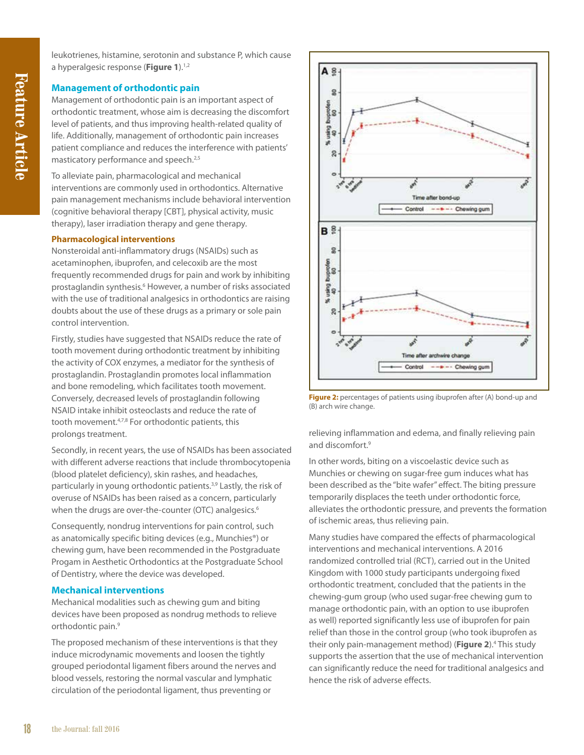leukotrienes, histamine, serotonin and substance P, which cause a hyperalgesic response (**Figure 1**).1,2

#### **Management of orthodontic pain**

Management of orthodontic pain is an important aspect of orthodontic treatment, whose aim is decreasing the discomfort level of patients, and thus improving health-related quality of life. Additionally, management of orthodontic pain increases patient compliance and reduces the interference with patients' masticatory performance and speech.<sup>2,5</sup>

To alleviate pain, pharmacological and mechanical interventions are commonly used in orthodontics. Alternative pain management mechanisms include behavioral intervention (cognitive behavioral therapy [CBT], physical activity, music therapy), laser irradiation therapy and gene therapy.

#### **Pharmacological interventions**

Nonsteroidal anti-inflammatory drugs (NSAIDs) such as acetaminophen, ibuprofen, and celecoxib are the most frequently recommended drugs for pain and work by inhibiting prostaglandin synthesis.<sup>6</sup> However, a number of risks associated with the use of traditional analgesics in orthodontics are raising doubts about the use of these drugs as a primary or sole pain control intervention.

Firstly, studies have suggested that NSAIDs reduce the rate of tooth movement during orthodontic treatment by inhibiting the activity of COX enzymes, a mediator for the synthesis of prostaglandin. Prostaglandin promotes local inflammation and bone remodeling, which facilitates tooth movement. Conversely, decreased levels of prostaglandin following NSAID intake inhibit osteoclasts and reduce the rate of tooth movement.4,7,8 For orthodontic patients, this prolongs treatment.

Secondly, in recent years, the use of NSAIDs has been associated with different adverse reactions that include thrombocytopenia (blood platelet deficiency), skin rashes, and headaches, particularly in young orthodontic patients.3,9 Lastly, the risk of overuse of NSAIDs has been raised as a concern, particularly when the drugs are over-the-counter (OTC) analgesics.<sup>6</sup>

Consequently, nondrug interventions for pain control, such as anatomically specific biting devices (e.g., Munchies®) or chewing gum, have been recommended in the Postgraduate Progam in Aesthetic Orthodontics at the Postgraduate School of Dentistry, where the device was developed.

#### **Mechanical interventions**

Mechanical modalities such as chewing gum and biting devices have been proposed as nondrug methods to relieve orthodontic pain.<sup>9</sup>

The proposed mechanism of these interventions is that they induce microdynamic movements and loosen the tightly grouped periodontal ligament fibers around the nerves and blood vessels, restoring the normal vascular and lymphatic circulation of the periodontal ligament, thus preventing or



**Figure 2:** percentages of patients using ibuprofen after (A) bond-up and (B) arch wire change.

relieving inflammation and edema, and finally relieving pain and discomfort.<sup>9</sup>

In other words, biting on a viscoelastic device such as Munchies or chewing on sugar-free gum induces what has been described as the "bite wafer" effect. The biting pressure temporarily displaces the teeth under orthodontic force, alleviates the orthodontic pressure, and prevents the formation of ischemic areas, thus relieving pain.

Many studies have compared the effects of pharmacological interventions and mechanical interventions. A 2016 randomized controlled trial (RCT), carried out in the United Kingdom with 1000 study participants undergoing fixed orthodontic treatment, concluded that the patients in the chewing-gum group (who used sugar-free chewing gum to manage orthodontic pain, with an option to use ibuprofen as well) reported significantly less use of ibuprofen for pain relief than those in the control group (who took ibuprofen as their only pain-management method) (Figure 2).<sup>4</sup> This study supports the assertion that the use of mechanical intervention can significantly reduce the need for traditional analgesics and hence the risk of adverse effects.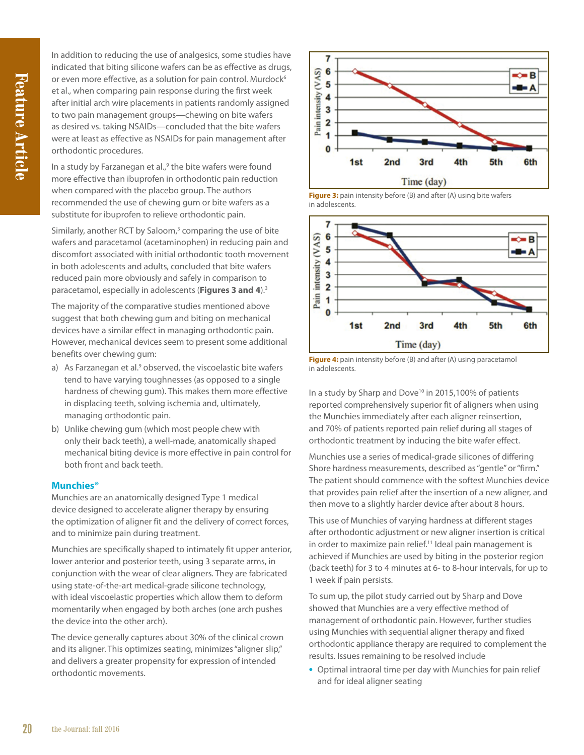In addition to reducing the use of analgesics, some studies have indicated that biting silicone wafers can be as effective as drugs, or even more effective, as a solution for pain control. Murdock<sup>6</sup> et al., when comparing pain response during the first week after initial arch wire placements in patients randomly assigned to two pain management groups—chewing on bite wafers as desired vs. taking NSAIDs—concluded that the bite wafers were at least as effective as NSAIDs for pain management after orthodontic procedures.

In a study by Farzanegan et al.,<sup>9</sup> the bite wafers were found more effective than ibuprofen in orthodontic pain reduction when compared with the placebo group. The authors recommended the use of chewing gum or bite wafers as a substitute for ibuprofen to relieve orthodontic pain.

Similarly, another RCT by Saloom, $3$  comparing the use of bite wafers and paracetamol (acetaminophen) in reducing pain and discomfort associated with initial orthodontic tooth movement in both adolescents and adults, concluded that bite wafers reduced pain more obviously and safely in comparison to paracetamol, especially in adolescents (**Figures 3 and 4**).3

The majority of the comparative studies mentioned above suggest that both chewing gum and biting on mechanical devices have a similar effect in managing orthodontic pain. However, mechanical devices seem to present some additional benefits over chewing gum:

- a) As Farzanegan et al.<sup>9</sup> observed, the viscoelastic bite wafers tend to have varying toughnesses (as opposed to a single hardness of chewing gum). This makes them more effective in displacing teeth, solving ischemia and, ultimately, managing orthodontic pain.
- b) Unlike chewing gum (which most people chew with only their back teeth), a well-made, anatomically shaped mechanical biting device is more effective in pain control for both front and back teeth.

#### **Munchies®**

Munchies are an anatomically designed Type 1 medical device designed to accelerate aligner therapy by ensuring the optimization of aligner fit and the delivery of correct forces, and to minimize pain during treatment.

Munchies are specifically shaped to intimately fit upper anterior, lower anterior and posterior teeth, using 3 separate arms, in conjunction with the wear of clear aligners. They are fabricated using state-of-the-art medical-grade silicone technology, with ideal viscoelastic properties which allow them to deform momentarily when engaged by both arches (one arch pushes the device into the other arch).

The device generally captures about 30% of the clinical crown and its aligner. This optimizes seating, minimizes "aligner slip," and delivers a greater propensity for expression of intended orthodontic movements.



**Figure 3:** pain intensity before (B) and after (A) using bite wafers in adolescents.





In a study by Sharp and Dove<sup>10</sup> in 2015,100% of patients reported comprehensively superior fit of aligners when using the Munchies immediately after each aligner reinsertion, and 70% of patients reported pain relief during all stages of orthodontic treatment by inducing the bite wafer effect.

Munchies use a series of medical-grade silicones of differing Shore hardness measurements, described as "gentle" or "firm." The patient should commence with the softest Munchies device that provides pain relief after the insertion of a new aligner, and then move to a slightly harder device after about 8 hours.

This use of Munchies of varying hardness at different stages after orthodontic adjustment or new aligner insertion is critical in order to maximize pain relief.<sup>11</sup> Ideal pain management is achieved if Munchies are used by biting in the posterior region (back teeth) for 3 to 4 minutes at 6- to 8-hour intervals, for up to 1 week if pain persists.

To sum up, the pilot study carried out by Sharp and Dove showed that Munchies are a very effective method of management of orthodontic pain. However, further studies using Munchies with sequential aligner therapy and fixed orthodontic appliance therapy are required to complement the results. Issues remaining to be resolved include

**•** Optimal intraoral time per day with Munchies for pain relief and for ideal aligner seating